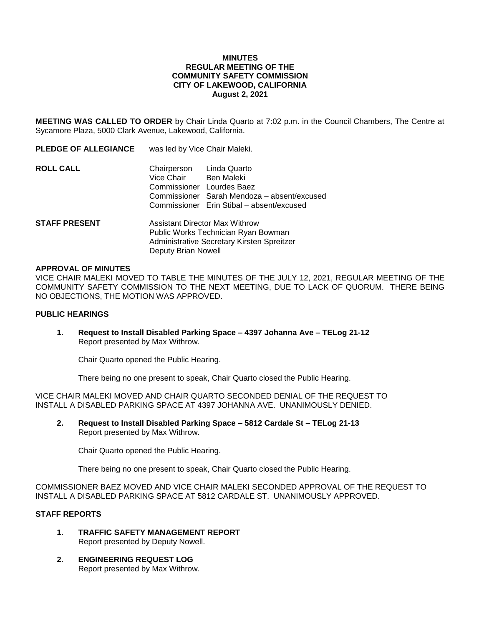# **MINUTES REGULAR MEETING OF THE COMMUNITY SAFETY COMMISSION CITY OF LAKEWOOD, CALIFORNIA August 2, 2021**

**MEETING WAS CALLED TO ORDER** by Chair Linda Quarto at 7:02 p.m. in the Council Chambers, The Centre at Sycamore Plaza, 5000 Clark Avenue, Lakewood, California.

| <b>PLEDGE OF ALLEGIANCE</b> | was led by Vice Chair Maleki.                                                  |                                                                                          |
|-----------------------------|--------------------------------------------------------------------------------|------------------------------------------------------------------------------------------|
| ROLL CALL                   | Chairperson Linda Quarto<br>Vice Chair Ben Maleki<br>Commissioner Lourdes Baez | Commissioner Sarah Mendoza - absent/excused<br>Commissioner Erin Stibal - absent/excused |
| <b>STAFF PRESENT</b>        | Assistant Director Max Withrow<br>Public Works Technician Ryan Bowman          |                                                                                          |

Deputy Brian Nowell

#### **APPROVAL OF MINUTES**

VICE CHAIR MALEKI MOVED TO TABLE THE MINUTES OF THE JULY 12, 2021, REGULAR MEETING OF THE COMMUNITY SAFETY COMMISSION TO THE NEXT MEETING, DUE TO LACK OF QUORUM. THERE BEING NO OBJECTIONS, THE MOTION WAS APPROVED.

# **PUBLIC HEARINGS**

**1. Request to Install Disabled Parking Space – 4397 Johanna Ave – TELog 21-12** Report presented by Max Withrow.

Administrative Secretary Kirsten Spreitzer

Chair Quarto opened the Public Hearing.

There being no one present to speak, Chair Quarto closed the Public Hearing.

VICE CHAIR MALEKI MOVED AND CHAIR QUARTO SECONDED DENIAL OF THE REQUEST TO INSTALL A DISABLED PARKING SPACE AT 4397 JOHANNA AVE. UNANIMOUSLY DENIED.

**2. Request to Install Disabled Parking Space – 5812 Cardale St – TELog 21-13** Report presented by Max Withrow.

Chair Quarto opened the Public Hearing.

There being no one present to speak, Chair Quarto closed the Public Hearing.

COMMISSIONER BAEZ MOVED AND VICE CHAIR MALEKI SECONDED APPROVAL OF THE REQUEST TO INSTALL A DISABLED PARKING SPACE AT 5812 CARDALE ST. UNANIMOUSLY APPROVED.

# **STAFF REPORTS**

- **1. TRAFFIC SAFETY MANAGEMENT REPORT**  Report presented by Deputy Nowell.
- **2. ENGINEERING REQUEST LOG** Report presented by Max Withrow.